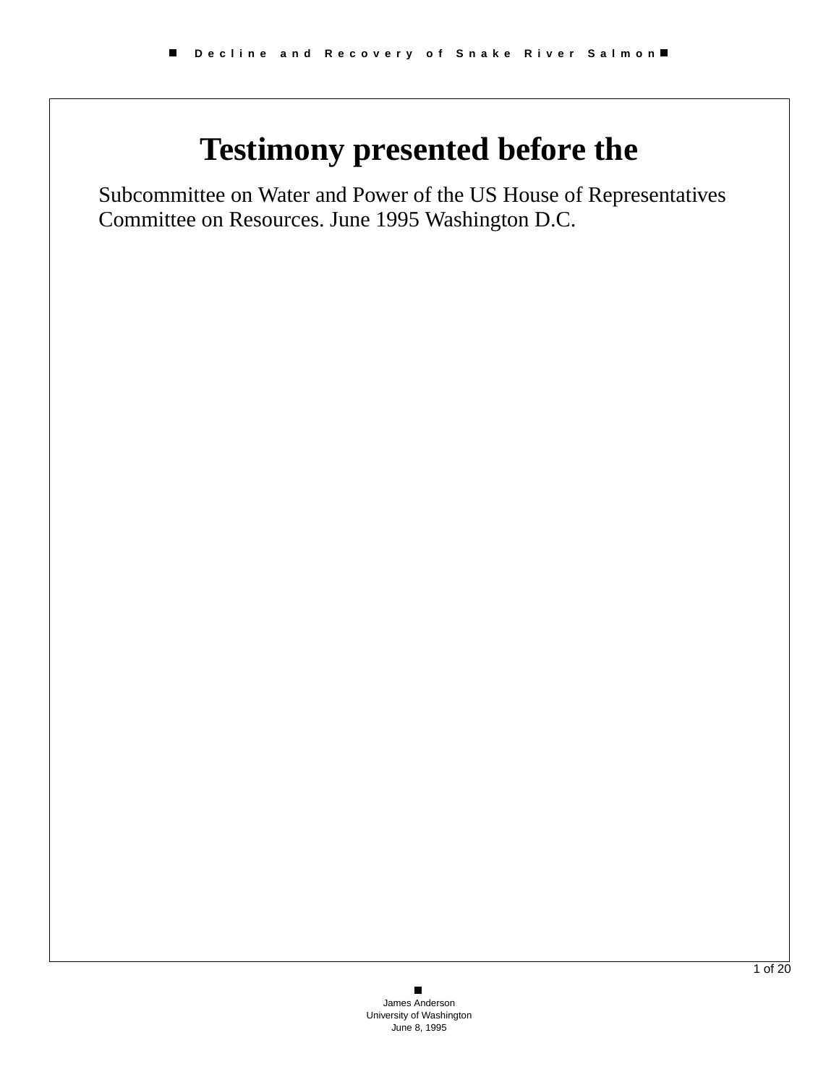# **Testimony presented before the**

Subcommittee on Water and Power of the US House of Representatives Committee on Resources. June 1995 Washington D.C.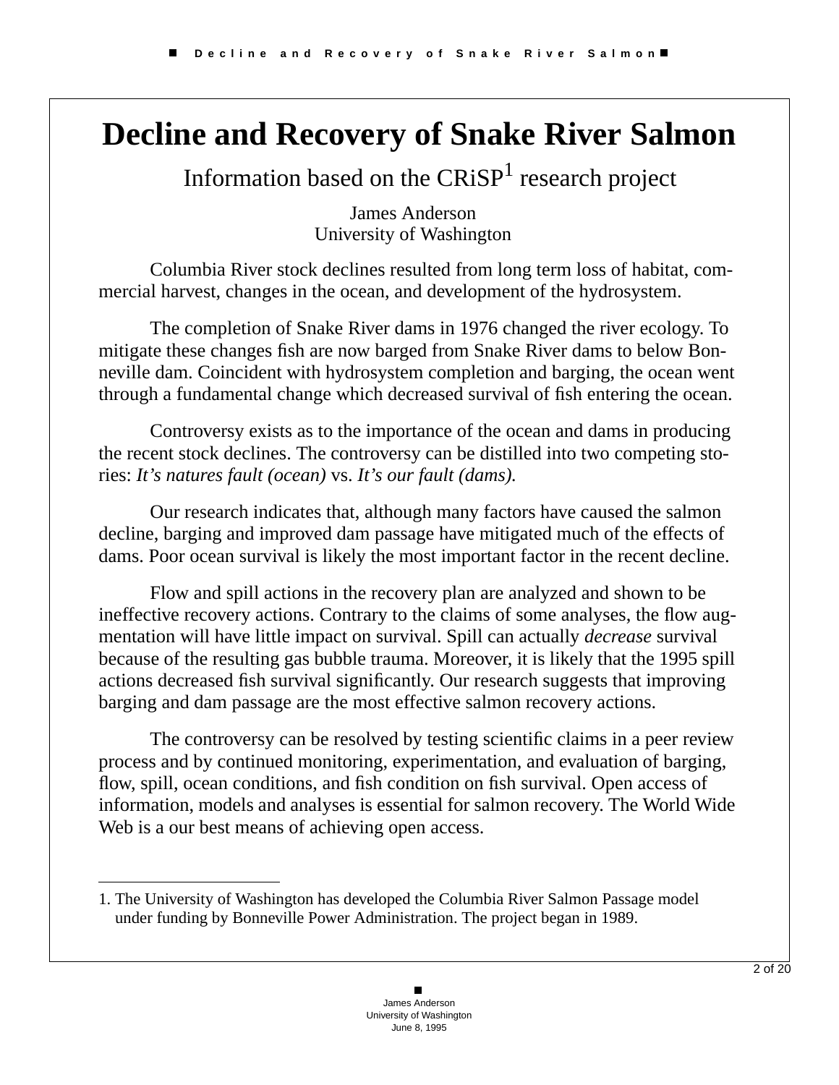## **Decline and Recovery of Snake River Salmon**

Information based on the  $CRiSP<sup>1</sup>$  research project

James Anderson University of Washington

Columbia River stock declines resulted from long term loss of habitat, commercial harvest, changes in the ocean, and development of the hydrosystem.

The completion of Snake River dams in 1976 changed the river ecology. To mitigate these changes fish are now barged from Snake River dams to below Bonneville dam. Coincident with hydrosystem completion and barging, the ocean went through a fundamental change which decreased survival of fish entering the ocean.

Controversy exists as to the importance of the ocean and dams in producing the recent stock declines. The controversy can be distilled into two competing stories: *It's natures fault (ocean)* vs. *It's our fault (dams).*

Our research indicates that, although many factors have caused the salmon decline, barging and improved dam passage have mitigated much of the effects of dams. Poor ocean survival is likely the most important factor in the recent decline.

Flow and spill actions in the recovery plan are analyzed and shown to be ineffective recovery actions. Contrary to the claims of some analyses, the flow augmentation will have little impact on survival. Spill can actually *decrease* survival because of the resulting gas bubble trauma. Moreover, it is likely that the 1995 spill actions decreased fish survival significantly. Our research suggests that improving barging and dam passage are the most effective salmon recovery actions.

The controversy can be resolved by testing scientific claims in a peer review process and by continued monitoring, experimentation, and evaluation of barging, flow, spill, ocean conditions, and fish condition on fish survival. Open access of information, models and analyses is essential for salmon recovery. The World Wide Web is a our best means of achieving open access.

<sup>1.</sup> The University of Washington has developed the Columbia River Salmon Passage model under funding by Bonneville Power Administration. The project began in 1989.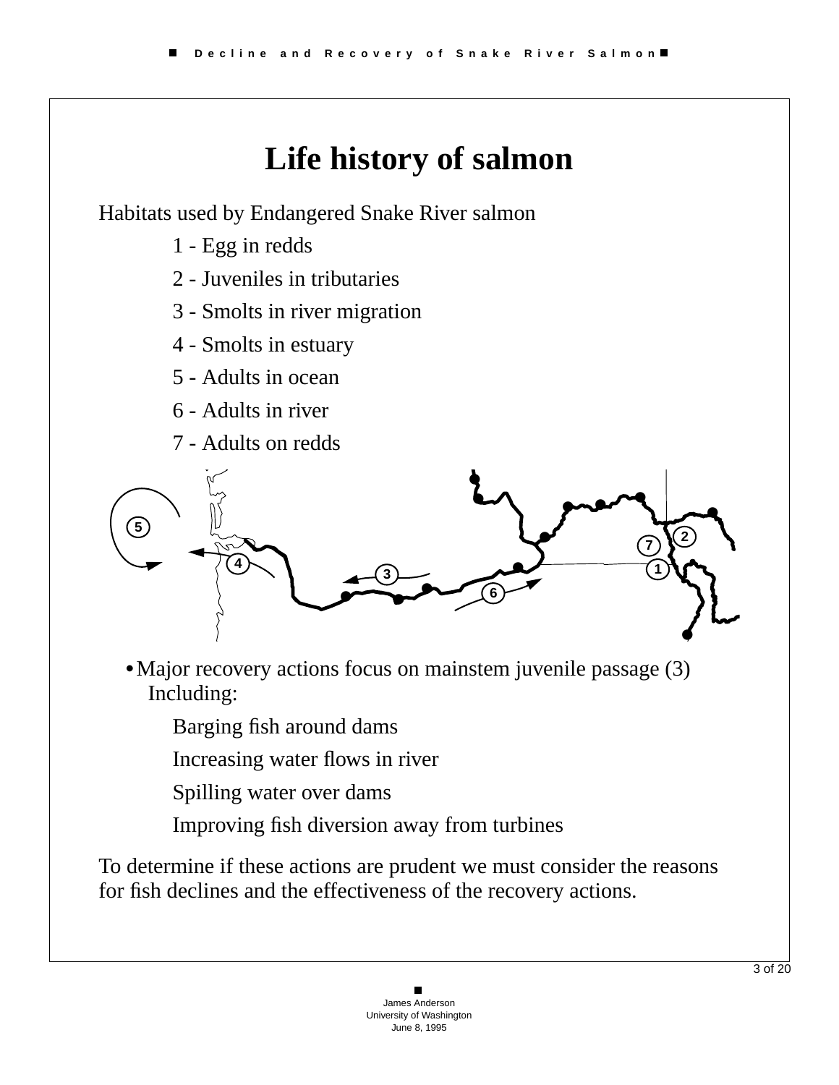

Habitats used by Endangered Snake River salmon

- 1 Egg in redds
- 2 Juveniles in tributaries
- 3 Smolts in river migration
- 4 Smolts in estuary
- 5 Adults in ocean
- 6 Adults in river
- 7 Adults on redds



- **•**Major recovery actions focus on mainstem juvenile passage (3) Including:
	- Barging fish around dams
	- Increasing water flows in river
	- Spilling water over dams
	- Improving fish diversion away from turbines

To determine if these actions are prudent we must consider the reasons for fish declines and the effectiveness of the recovery actions.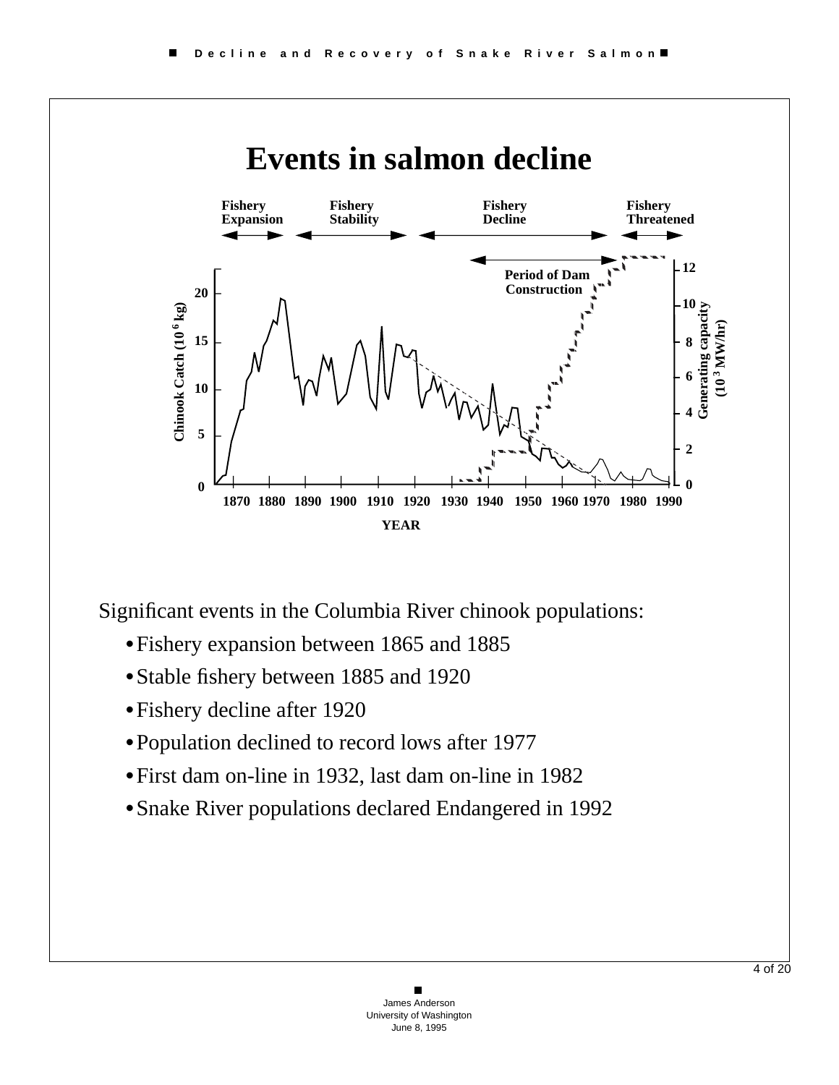

Significant events in the Columbia River chinook populations:

- **•**Fishery expansion between 1865 and 1885
- **•**Stable fishery between 1885 and 1920
- **•**Fishery decline after 1920
- **•**Population declined to record lows after 1977
- **•**First dam on-line in 1932, last dam on-line in 1982
- **•**Snake River populations declared Endangered in 1992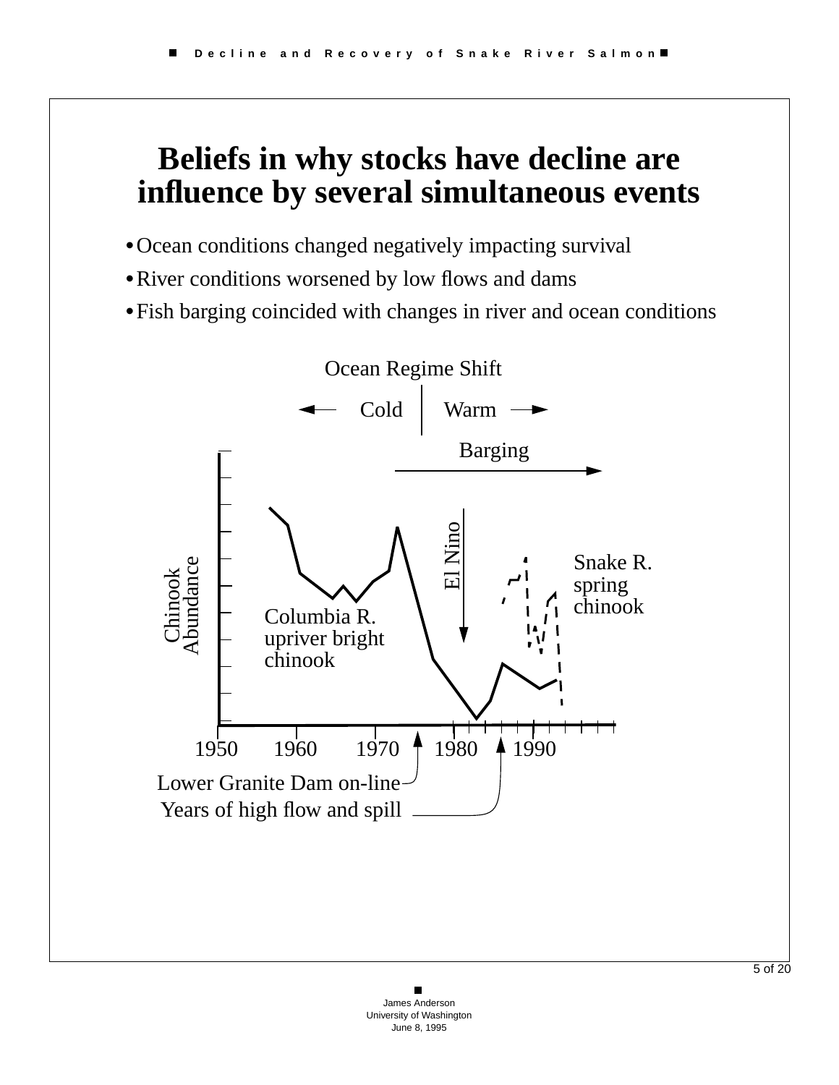### **Beliefs in why stocks have decline are influence by several simultaneous events**

- **•**Ocean conditions changed negatively impacting survival
- **•**River conditions worsened by low flows and dams
- **•**Fish barging coincided with changes in river and ocean conditions

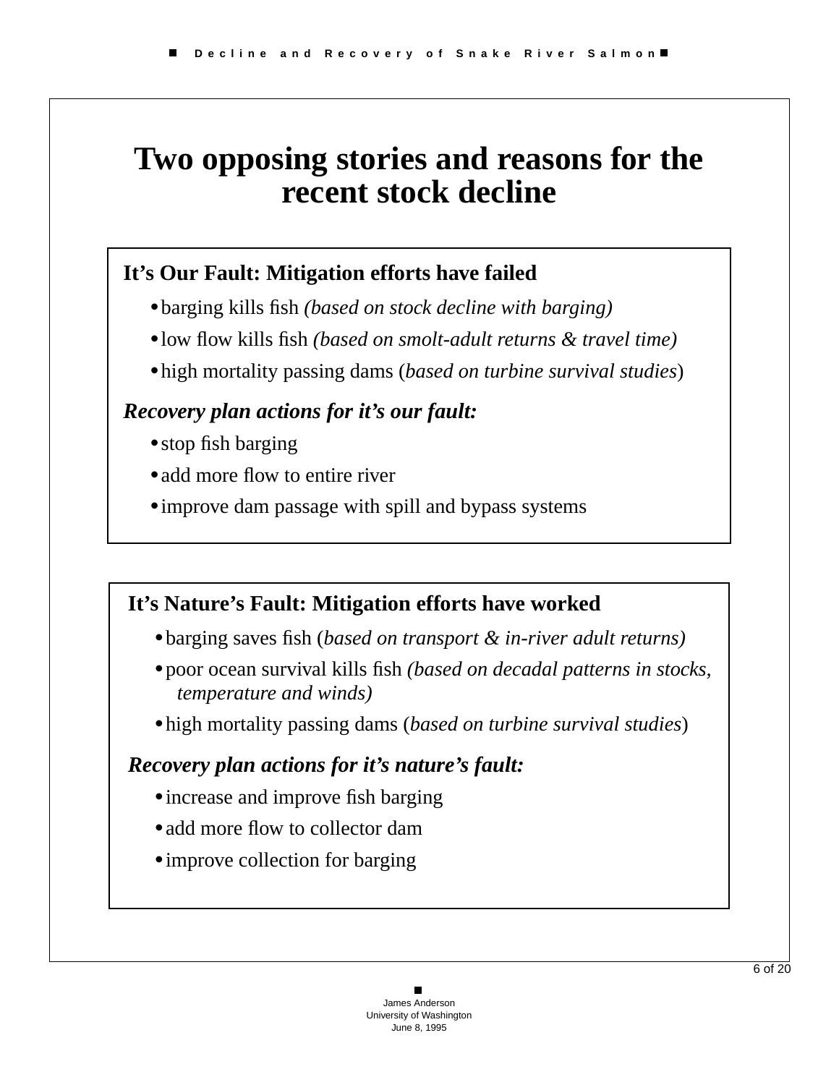## **Two opposing stories and reasons for the recent stock decline**

#### **It's Our Fault: Mitigation efforts have failed**

- **•**barging kills fish *(based on stock decline with barging)*
- **•**low flow kills fish *(based on smolt-adult returns & travel time)*
- **•**high mortality passing dams (*based on turbine survival studies*)

#### *Recovery plan actions for it's our fault:*

- **•**stop fish barging
- add more flow to entire river
- **•**improve dam passage with spill and bypass systems

#### **It's Nature's Fault: Mitigation efforts have worked**

- **•**barging saves fish (*based on transport & in-river adult returns)*
- **•**poor ocean survival kills fish *(based on decadal patterns in stocks, temperature and winds)*
- **•**high mortality passing dams (*based on turbine survival studies*)

#### *Recovery plan actions for it's nature's fault:*

- **•**increase and improve fish barging
- add more flow to collector dam
- **•**improve collection for barging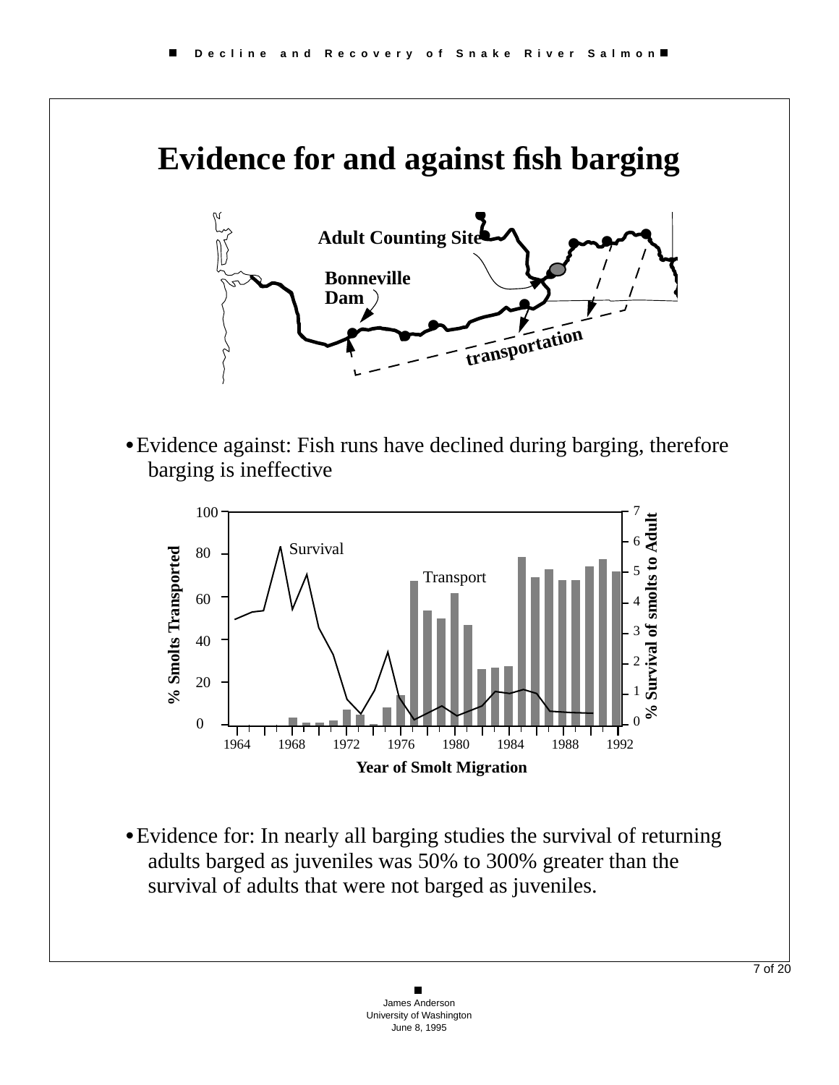## **Evidence for and against fish barging**



**•**Evidence against: Fish runs have declined during barging, therefore barging is ineffective



**•**Evidence for: In nearly all barging studies the survival of returning adults barged as juveniles was 50% to 300% greater than the survival of adults that were not barged as juveniles.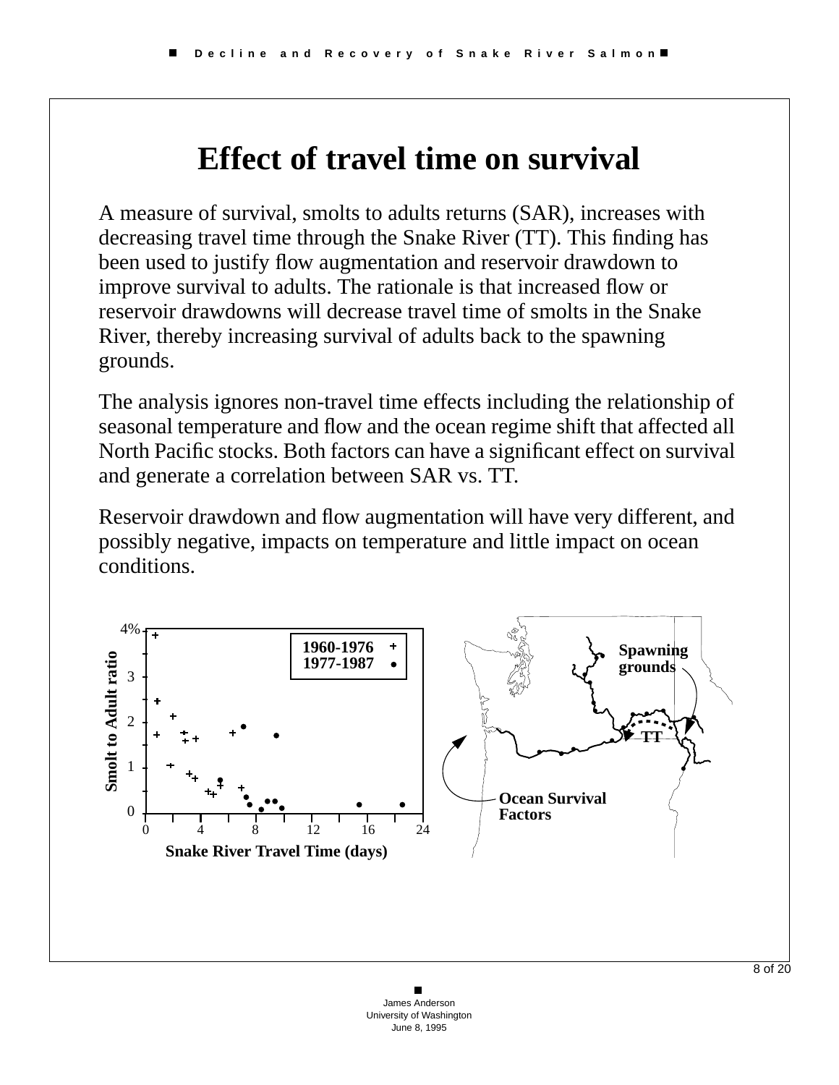## **Effect of travel time on survival**

A measure of survival, smolts to adults returns (SAR), increases with decreasing travel time through the Snake River (TT). This finding has been used to justify flow augmentation and reservoir drawdown to improve survival to adults. The rationale is that increased flow or reservoir drawdowns will decrease travel time of smolts in the Snake River, thereby increasing survival of adults back to the spawning grounds.

The analysis ignores non-travel time effects including the relationship of seasonal temperature and flow and the ocean regime shift that affected all North Pacific stocks. Both factors can have a significant effect on survival and generate a correlation between SAR vs. TT.

Reservoir drawdown and flow augmentation will have very different, and possibly negative, impacts on temperature and little impact on ocean conditions.

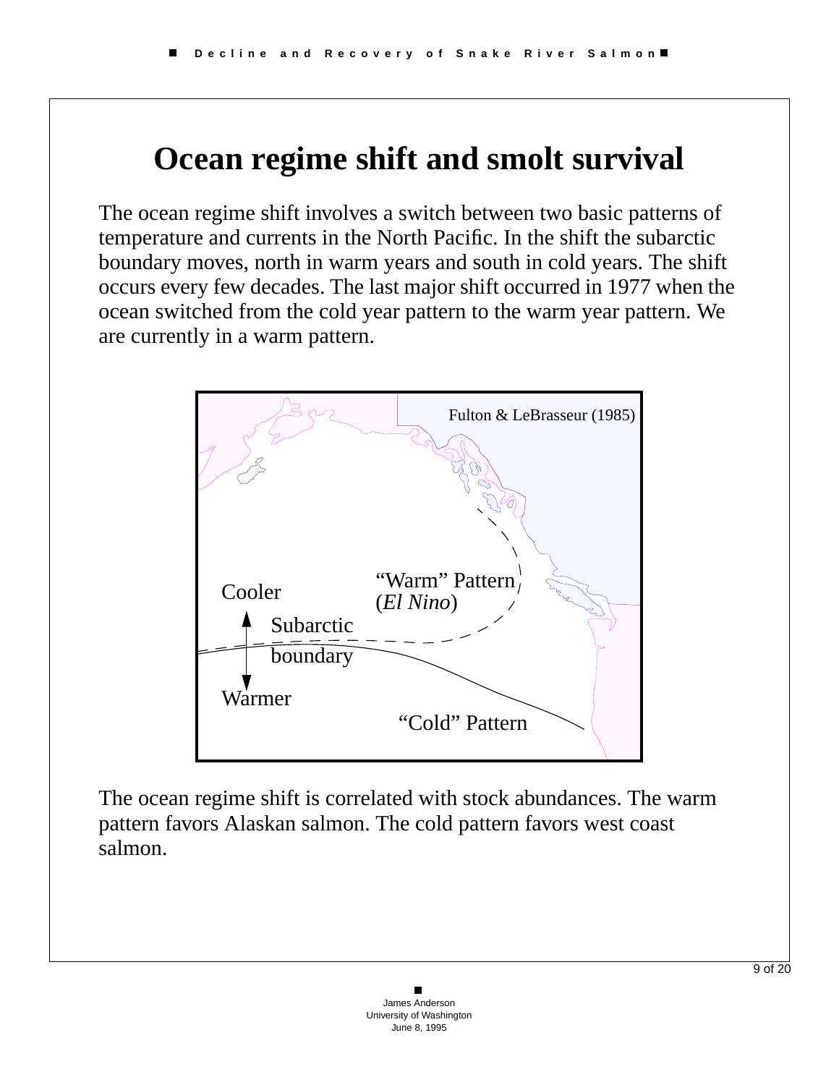## **Ocean regime shift and smolt survival**

The ocean regime shift involves a switch between two basic patterns of temperature and currents in the North Pacific. In the shift the subarctic boundary moves, north in warm years and south in cold years. The shift occurs every few decades. The last major shift occurred in 1977 when the ocean switched from the cold year pattern to the warm year pattern. We are currently in a warm pattern.



The ocean regime shift is correlated with stock abundances. The warm pattern favors Alaskan salmon. The cold pattern favors west coast salmon.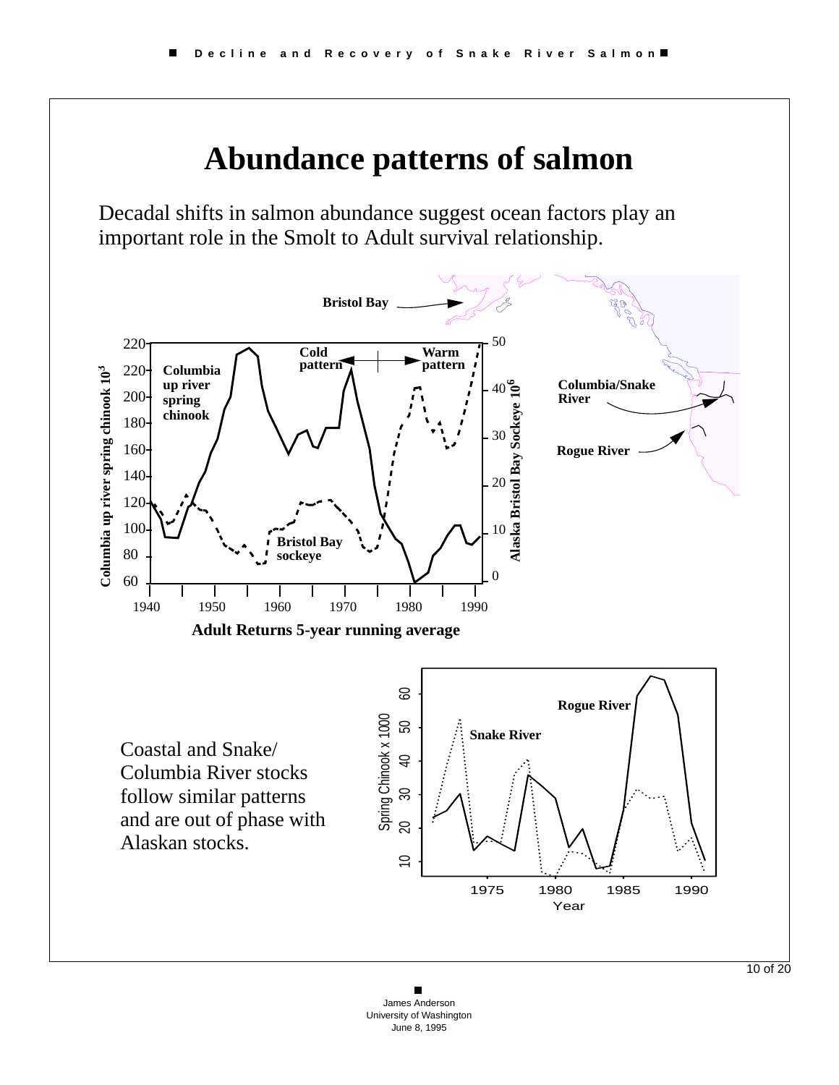

James Anderson University of Washington June 8, 1995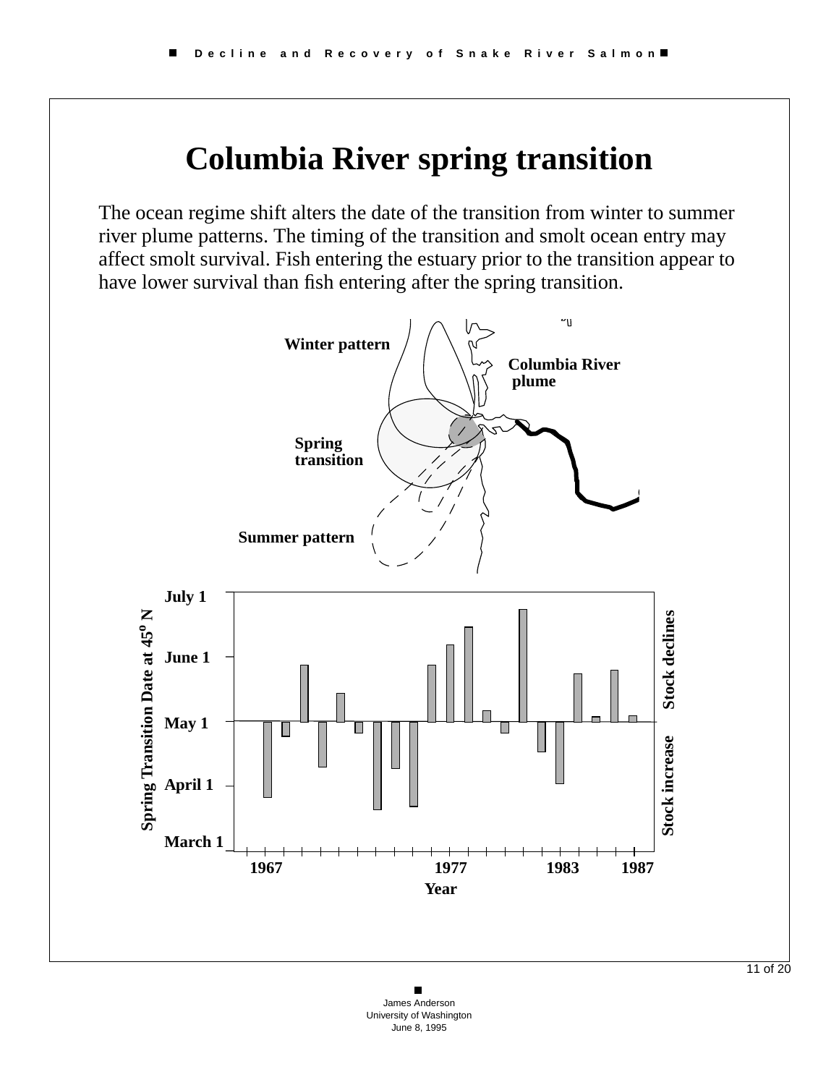### **Columbia River spring transition**

The ocean regime shift alters the date of the transition from winter to summer river plume patterns. The timing of the transition and smolt ocean entry may affect smolt survival. Fish entering the estuary prior to the transition appear to have lower survival than fish entering after the spring transition.



James Anderson University of Washington June 8, 1995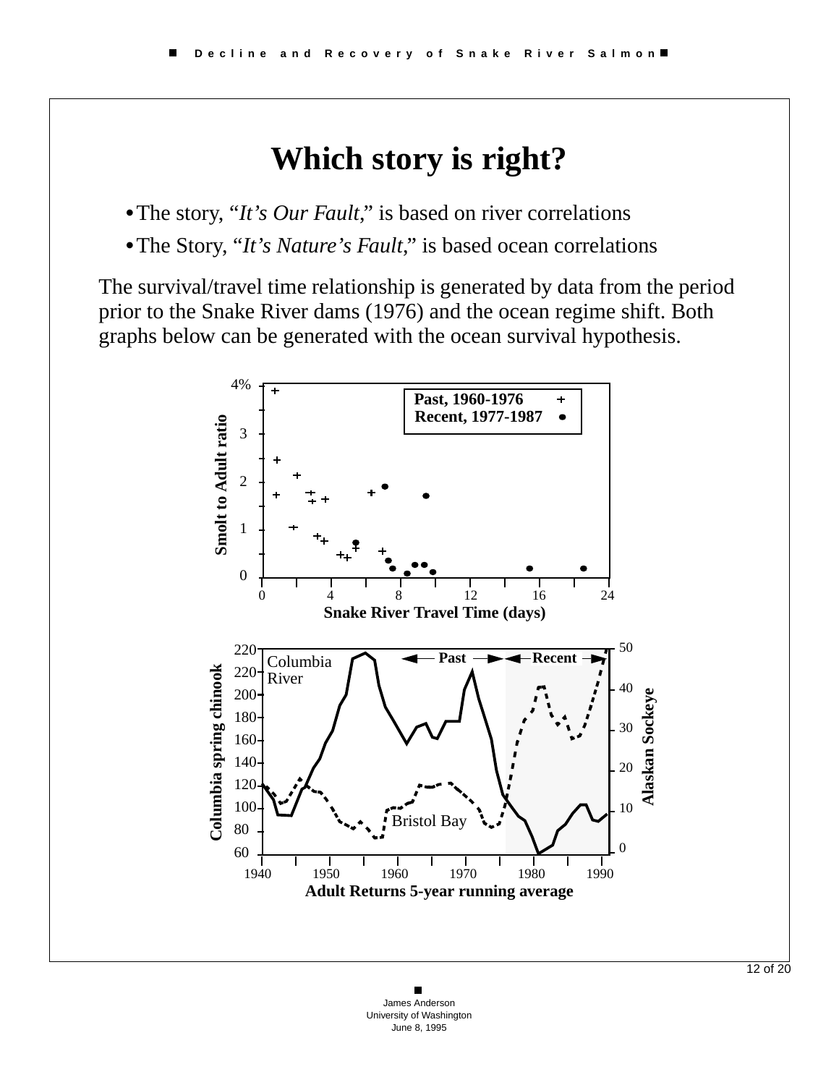### **Which story is right?**

•The story, "*It's Our Fault*," is based on river correlations

**•**The Story, "*It's Nature's Fault*," is based ocean correlations

The survival/travel time relationship is generated by data from the period prior to the Snake River dams (1976) and the ocean regime shift. Both graphs below can be generated with the ocean survival hypothesis.

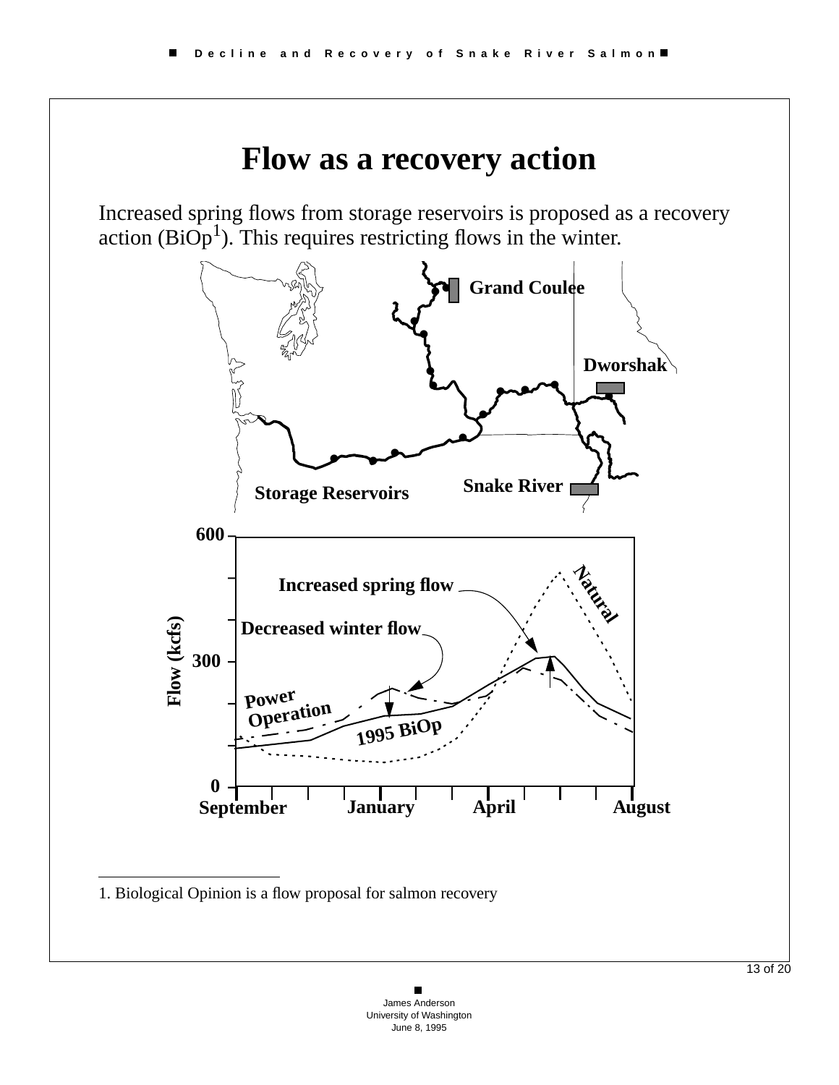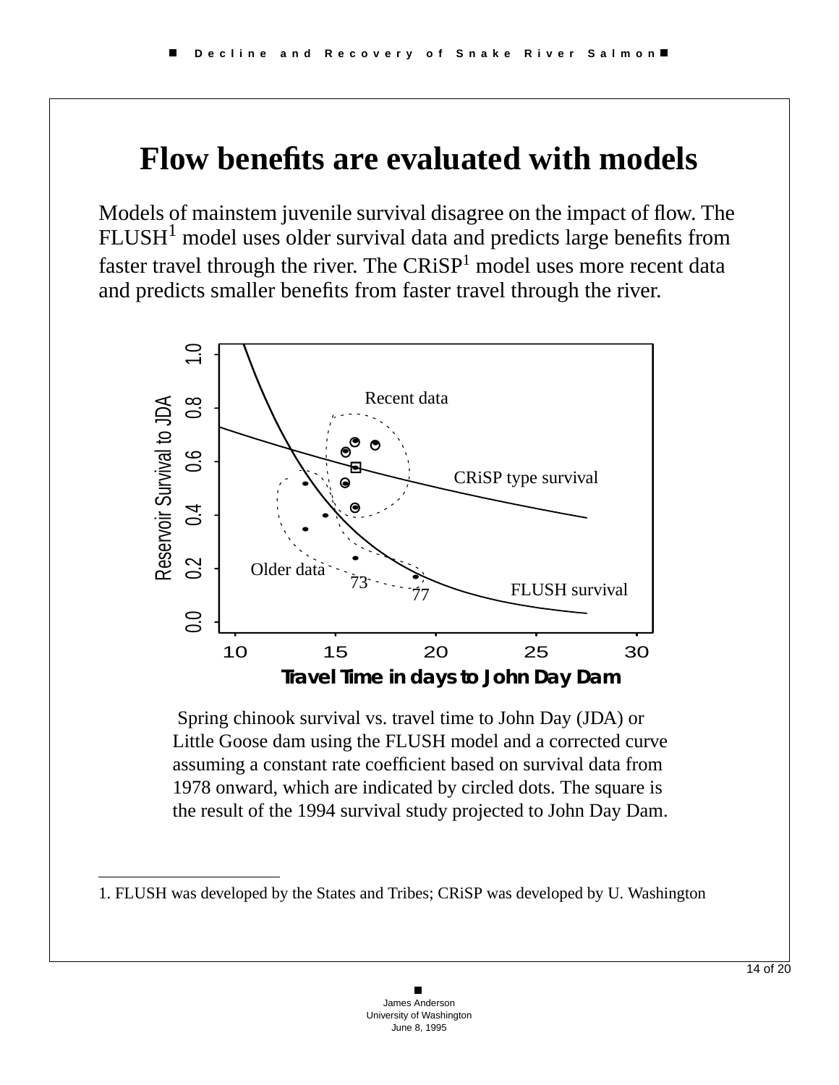# **Flow benefits are evaluated with models**

Models of mainstem juvenile survival disagree on the impact of flow. The  $FLUSH<sup>1</sup>$  model uses older survival data and predicts large benefits from faster travel through the river. The  $CRiSP<sup>1</sup>$  model uses more recent data and predicts smaller benefits from faster travel through the river.



 Spring chinook survival vs. travel time to John Day (JDA) or Little Goose dam using the FLUSH model and a corrected curve assuming a constant rate coefficient based on survival data from 1978 onward, which are indicated by circled dots. The square is the result of the 1994 survival study projected to John Day Dam.

<sup>1.</sup> FLUSH was developed by the States and Tribes; CRiSP was developed by U. Washington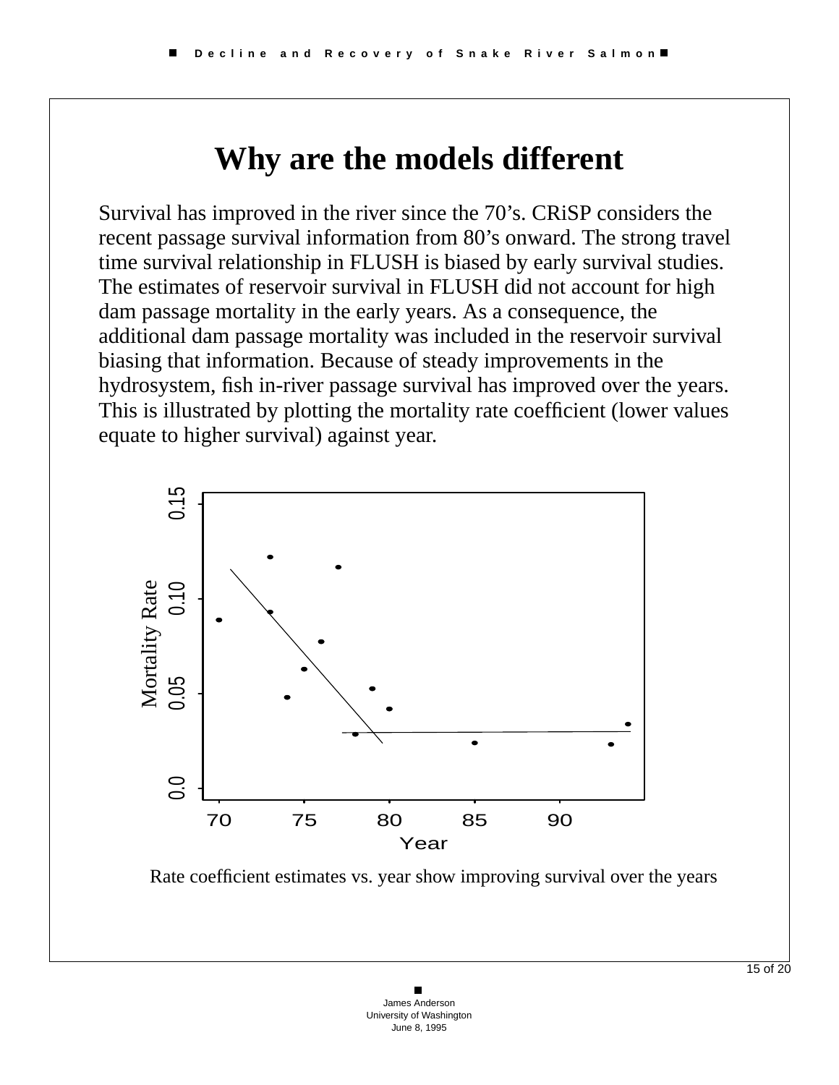## **Why are the models different**

Survival has improved in the river since the 70's. CRiSP considers the recent passage survival information from 80's onward. The strong travel time survival relationship in FLUSH is biased by early survival studies. The estimates of reservoir survival in FLUSH did not account for high dam passage mortality in the early years. As a consequence, the additional dam passage mortality was included in the reservoir survival biasing that information. Because of steady improvements in the hydrosystem, fish in-river passage survival has improved over the years. This is illustrated by plotting the mortality rate coefficient (lower values equate to higher survival) against year.



Rate coefficient estimates vs. year show improving survival over the years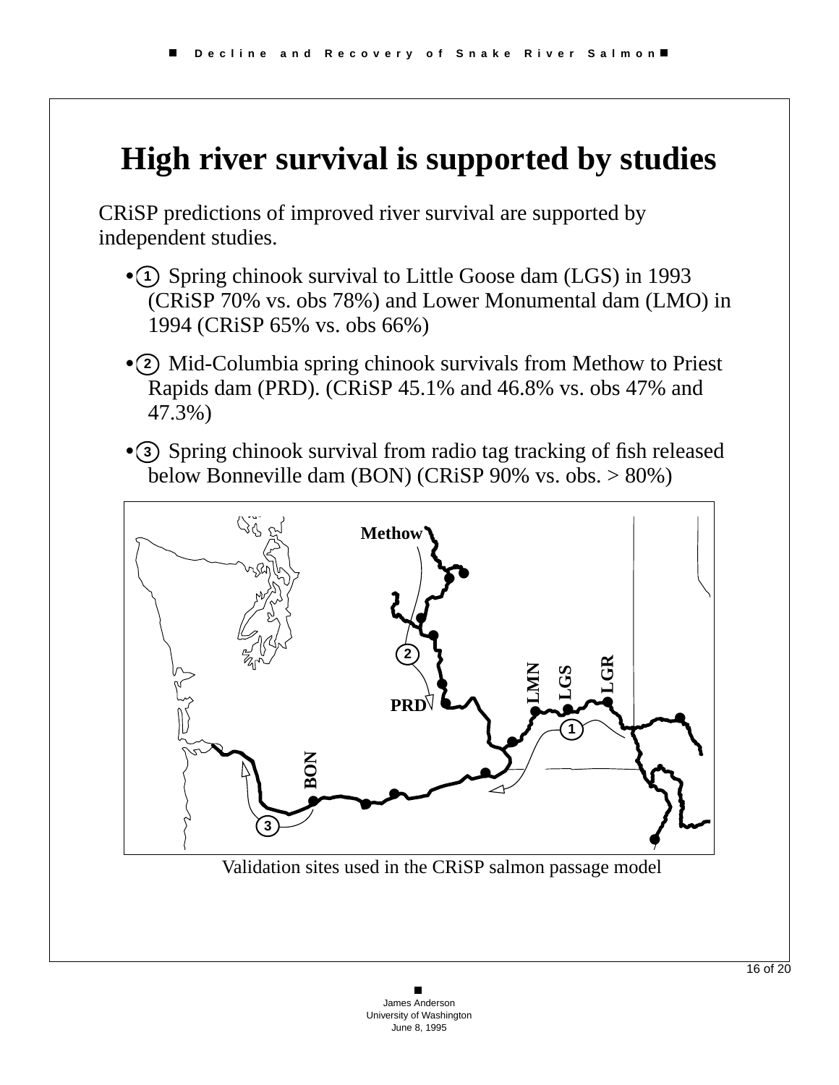## **High river survival is supported by studies**

CRiSP predictions of improved river survival are supported by independent studies.

- ① Spring chinook survival to Little Goose dam (LGS) in 1993 (CRiSP 70% vs. obs 78%) and Lower Monumental dam (LMO) in 1994 (CRiSP 65% vs. obs 66%)
- 2 Mid-Columbia spring chinook survivals from Methow to Priest Rapids dam (PRD). (CRiSP 45.1% and 46.8% vs. obs 47% and 47.3%)
- 3 Spring chinook survival from radio tag tracking of fish released below Bonneville dam (BON) (CRiSP 90% vs. obs. > 80%)



Validation sites used in the CRiSP salmon passage model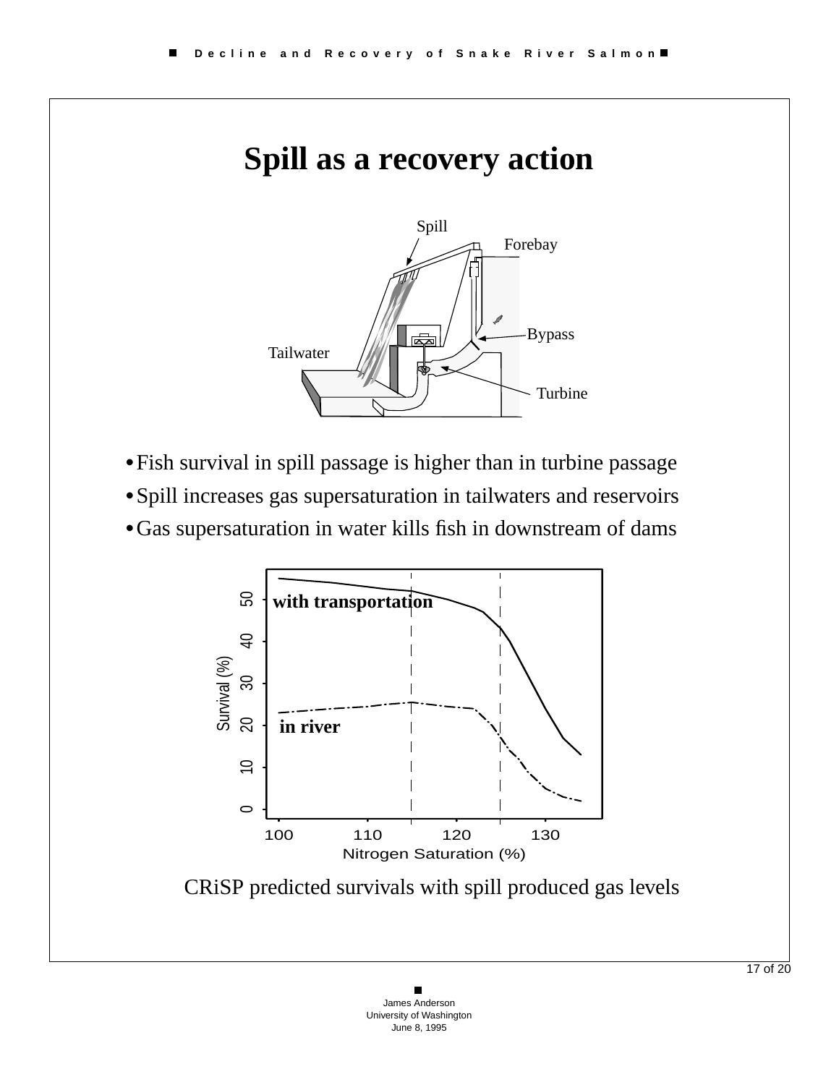#### **Spill as a recovery action**



- **•**Fish survival in spill passage is higher than in turbine passage
- **•**Spill increases gas supersaturation in tailwaters and reservoirs
- **•**Gas supersaturation in water kills fish in downstream of dams



CRiSP predicted survivals with spill produced gas levels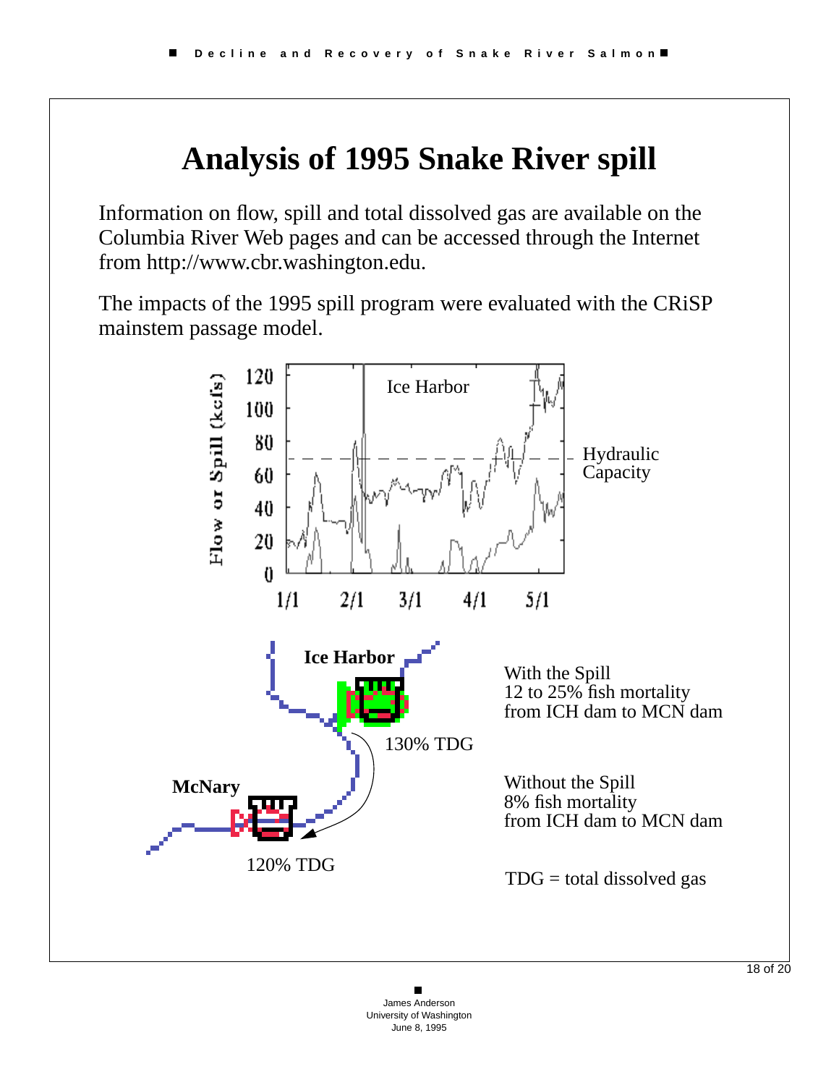# **Analysis of 1995 Snake River spill**

Information on flow, spill and total dissolved gas are available on the Columbia River Web pages and can be accessed through the Internet from http://www.cbr.washington.edu.

The impacts of the 1995 spill program were evaluated with the CRiSP mainstem passage model.

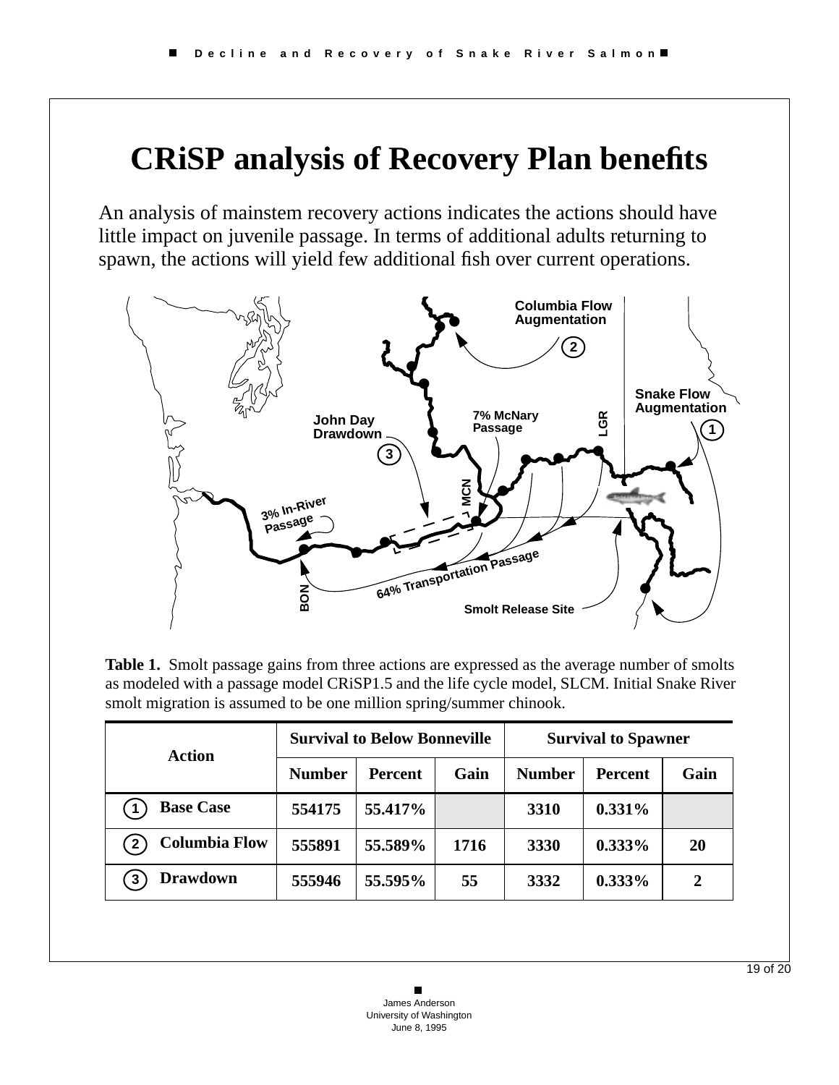## **CRiSP analysis of Recovery Plan benefits**

An analysis of mainstem recovery actions indicates the actions should have little impact on juvenile passage. In terms of additional adults returning to spawn, the actions will yield few additional fish over current operations.



**Table 1.** Smolt passage gains from three actions are expressed as the average number of smolts as modeled with a passage model CRiSP1.5 and the life cycle model, SLCM. Initial Snake River smolt migration is assumed to be one million spring/summer chinook.

| Action                               | <b>Survival to Below Bonneville</b> |                |      | <b>Survival to Spawner</b> |           |              |
|--------------------------------------|-------------------------------------|----------------|------|----------------------------|-----------|--------------|
|                                      | <b>Number</b>                       | <b>Percent</b> | Gain | <b>Number</b>              | Percent   | Gain         |
| <b>Base Case</b>                     | 554175                              | 55.417%        |      | 3310                       | $0.331\%$ |              |
| <b>Columbia Flow</b><br>$\mathbf{2}$ | 555891                              | 55.589%        | 1716 | 3330                       | $0.333\%$ | <b>20</b>    |
| <b>Drawdown</b><br>3                 | 555946                              | 55.595%        | 55   | 3332                       | $0.333\%$ | $\mathbf{2}$ |